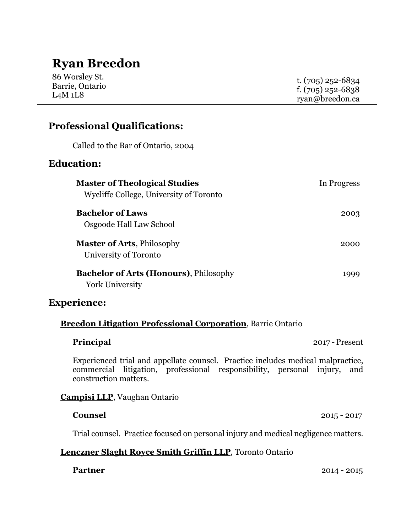# **Ryan Breedon**

| 86 Worsley St.<br>Barrie, Ontario<br>L4M 1L8 | t. $(705)$ 252-6834 |
|----------------------------------------------|---------------------|
|                                              | f. $(705)$ 252-6838 |
|                                              | ryan@breedon.ca     |

## **Professional Qualifications:**

Called to the Bar of Ontario, 2004

## **Education:**

| <b>Master of Theological Studies</b><br>Wycliffe College, University of Toronto | In Progress |
|---------------------------------------------------------------------------------|-------------|
| <b>Bachelor of Laws</b><br>Osgoode Hall Law School                              | 2003        |
| <b>Master of Arts, Philosophy</b><br>University of Toronto                      | 2000        |
| <b>Bachelor of Arts (Honours)</b> , Philosophy<br><b>York University</b>        | 1999        |

### **Experience:**

### **Breedon Litigation Professional Corporation**, Barrie Ontario

| Principal |  |
|-----------|--|
|           |  |
|           |  |
|           |  |

**2017 - Present** 

Experienced trial and appellate counsel. Practice includes medical malpractice, commercial litigation, professional responsibility, personal injury, and construction matters.

### **Campisi LLP**, Vaughan Ontario

#### **Counsel** 2015 - 2017

Trial counsel. Practice focused on personal injury and medical negligence matters.

### **Lenczner Slaght Royce Smith Griffin LLP**, Toronto Ontario

**Partner** 2014 - 2015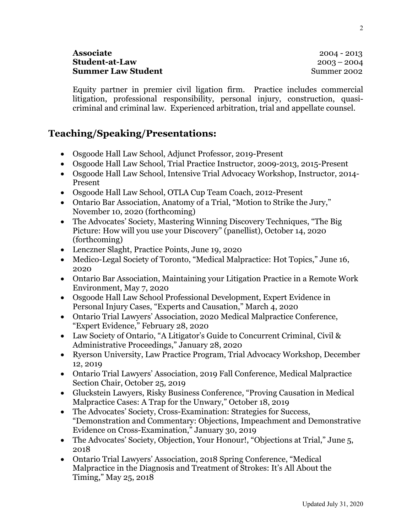#### **Associate** 2004 - 2013 **Student-at-Law** 2003 – 2004 **Summer Law Student**  The Summer 2002 Summer 2002

Equity partner in premier civil ligation firm. Practice includes commercial litigation, professional responsibility, personal injury, construction, quasicriminal and criminal law. Experienced arbitration, trial and appellate counsel.

# **Teaching/Speaking/Presentations:**

- Osgoode Hall Law School, Adjunct Professor, 2019-Present
- Osgoode Hall Law School, Trial Practice Instructor, 2009-2013, 2015-Present
- Osgoode Hall Law School, Intensive Trial Advocacy Workshop, Instructor, 2014- Present
- Osgoode Hall Law School, OTLA Cup Team Coach, 2012-Present
- Ontario Bar Association, Anatomy of a Trial, "Motion to Strike the Jury," November 10, 2020 (forthcoming)
- The Advocates' Society, Mastering Winning Discovery Techniques, "The Big Picture: How will you use your Discovery" (panellist), October 14, 2020 (forthcoming)
- Lenczner Slaght, Practice Points, June 19, 2020
- Medico-Legal Society of Toronto, "Medical Malpractice: Hot Topics," June 16, 2020
- Ontario Bar Association, Maintaining your Litigation Practice in a Remote Work Environment, May 7, 2020
- Osgoode Hall Law School Professional Development, Expert Evidence in Personal Injury Cases, "Experts and Causation," March 4, 2020
- Ontario Trial Lawyers' Association, 2020 Medical Malpractice Conference, "Expert Evidence," February 28, 2020
- Law Society of Ontario, "A Litigator's Guide to Concurrent Criminal, Civil & Administrative Proceedings," January 28, 2020
- Ryerson University, Law Practice Program, Trial Advocacy Workshop, December 12, 2019
- Ontario Trial Lawyers' Association, 2019 Fall Conference, Medical Malpractice Section Chair, October 25, 2019
- Gluckstein Lawyers, Risky Business Conference, "Proving Causation in Medical Malpractice Cases: A Trap for the Unwary," October 18, 2019
- The Advocates' Society, Cross-Examination: Strategies for Success, "Demonstration and Commentary: Objections, Impeachment and Demonstrative Evidence on Cross-Examination," January 30, 2019
- The Advocates' Society, Objection, Your Honour!, "Objections at Trial," June 5, 2018
- Ontario Trial Lawyers' Association, 2018 Spring Conference, "Medical Malpractice in the Diagnosis and Treatment of Strokes: It's All About the Timing," May 25, 2018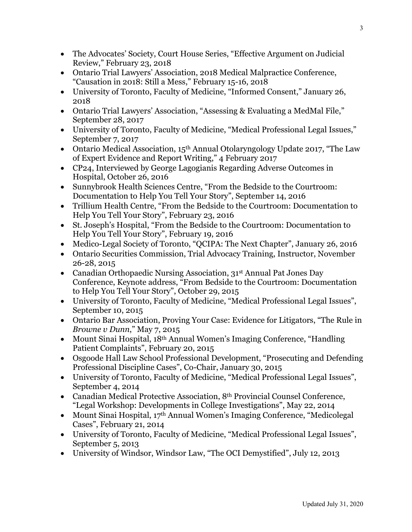- The Advocates' Society, Court House Series, "Effective Argument on Judicial Review," February 23, 2018
- Ontario Trial Lawyers' Association, 2018 Medical Malpractice Conference, "Causation in 2018: Still a Mess," February 15-16, 2018
- University of Toronto, Faculty of Medicine, "Informed Consent," January 26, 2018
- Ontario Trial Lawyers' Association, "Assessing & Evaluating a MedMal File," September 28, 2017
- University of Toronto, Faculty of Medicine, "Medical Professional Legal Issues," September 7, 2017
- Ontario Medical Association, 15<sup>th</sup> Annual Otolaryngology Update 2017, "The Law of Expert Evidence and Report Writing," 4 February 2017
- CP24, Interviewed by George Lagogianis Regarding Adverse Outcomes in Hospital, October 26, 2016
- Sunnybrook Health Sciences Centre, "From the Bedside to the Courtroom: Documentation to Help You Tell Your Story", September 14, 2016
- Trillium Health Centre, "From the Bedside to the Courtroom: Documentation to Help You Tell Your Story", February 23, 2016
- St. Joseph's Hospital, "From the Bedside to the Courtroom: Documentation to Help You Tell Your Story", February 19, 2016
- Medico-Legal Society of Toronto, "QCIPA: The Next Chapter", January 26, 2016
- Ontario Securities Commission, Trial Advocacy Training, Instructor, November 26-28, 2015
- Canadian Orthopaedic Nursing Association, 31<sup>st</sup> Annual Pat Jones Day Conference, Keynote address, "From Bedside to the Courtroom: Documentation to Help You Tell Your Story", October 29, 2015
- University of Toronto, Faculty of Medicine, "Medical Professional Legal Issues", September 10, 2015
- Ontario Bar Association, Proving Your Case: Evidence for Litigators, "The Rule in *Browne v Dunn*," May 7, 2015
- Mount Sinai Hospital, 18<sup>th</sup> Annual Women's Imaging Conference, "Handling Patient Complaints", February 20, 2015
- Osgoode Hall Law School Professional Development, "Prosecuting and Defending Professional Discipline Cases", Co-Chair, January 30, 2015
- University of Toronto, Faculty of Medicine, "Medical Professional Legal Issues", September 4, 2014
- Canadian Medical Protective Association, 8th Provincial Counsel Conference, "Legal Workshop: Developments in College Investigations", May 22, 2014
- Mount Sinai Hospital, 17<sup>th</sup> Annual Women's Imaging Conference, "Medicolegal Cases", February 21, 2014
- University of Toronto, Faculty of Medicine, "Medical Professional Legal Issues", September 5, 2013
- University of Windsor, Windsor Law, "The OCI Demystified", July 12, 2013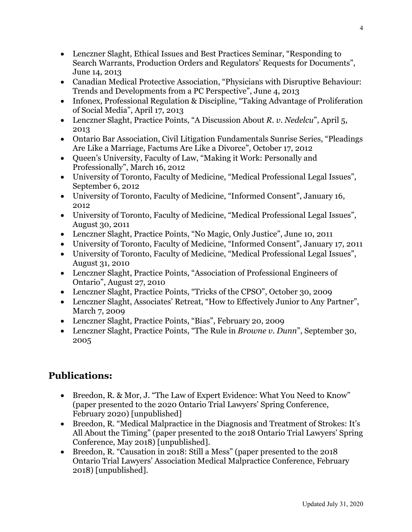- Lenczner Slaght, Ethical Issues and Best Practices Seminar, "Responding to Search Warrants, Production Orders and Regulators' Requests for Documents", June 14, 2013
- Canadian Medical Protective Association, "Physicians with Disruptive Behaviour: Trends and Developments from a PC Perspective", June 4, 2013
- Infonex, Professional Regulation & Discipline, "Taking Advantage of Proliferation of Social Media", April 17, 2013
- Lenczner Slaght, Practice Points, "A Discussion About *R. v. Nedelcu*", April 5, 2013
- Ontario Bar Association, Civil Litigation Fundamentals Sunrise Series, "Pleadings Are Like a Marriage, Factums Are Like a Divorce", October 17, 2012
- Queen's University, Faculty of Law, "Making it Work: Personally and Professionally", March 16, 2012
- University of Toronto, Faculty of Medicine, "Medical Professional Legal Issues", September 6, 2012
- University of Toronto, Faculty of Medicine, "Informed Consent", January 16, 2012
- University of Toronto, Faculty of Medicine, "Medical Professional Legal Issues", August 30, 2011
- Lenczner Slaght, Practice Points, "No Magic, Only Justice", June 10, 2011
- University of Toronto, Faculty of Medicine, "Informed Consent", January 17, 2011
- University of Toronto, Faculty of Medicine, "Medical Professional Legal Issues", August 31, 2010
- Lenczner Slaght, Practice Points, "Association of Professional Engineers of Ontario", August 27, 2010
- Lenczner Slaght, Practice Points, "Tricks of the CPSO", October 30, 2009
- Lenczner Slaght, Associates' Retreat, "How to Effectively Junior to Any Partner", March 7, 2009
- Lenczner Slaght, Practice Points, "Bias", February 20, 2009
- Lenczner Slaght, Practice Points, "The Rule in *Browne v. Dunn*", September 30, 2005

# **Publications:**

- Breedon, R. & Mor, J. "The Law of Expert Evidence: What You Need to Know" (paper presented to the 2020 Ontario Trial Lawyers' Spring Conference, February 2020) [unpublished]
- Breedon, R. "Medical Malpractice in the Diagnosis and Treatment of Strokes: It's All About the Timing" (paper presented to the 2018 Ontario Trial Lawyers' Spring Conference, May 2018) [unpublished].
- Breedon, R. "Causation in 2018: Still a Mess" (paper presented to the 2018) Ontario Trial Lawyers' Association Medical Malpractice Conference, February 2018) [unpublished].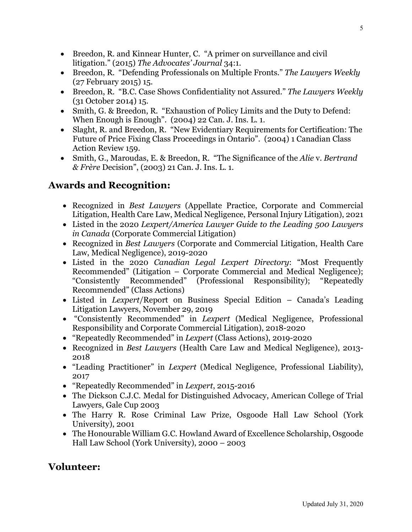- Breedon, R. and Kinnear Hunter, C. "A primer on surveillance and civil litigation." (2015) *The Advocates' Journal* 34:1.
- Breedon, R. "Defending Professionals on Multiple Fronts." *The Lawyers Weekly* (27 February 2015) 15.
- Breedon, R. "B.C. Case Shows Confidentiality not Assured." *The Lawyers Weekly* (31 October 2014) 15.
- Smith, G. & Breedon, R. "Exhaustion of Policy Limits and the Duty to Defend: When Enough is Enough". (2004) 22 Can. J. Ins. L. 1.
- Slaght, R. and Breedon, R. "New Evidentiary Requirements for Certification: The Future of Price Fixing Class Proceedings in Ontario". (2004) 1 Canadian Class Action Review 159.
- Smith, G., Maroudas, E. & Breedon, R. "The Significance of the *Alie* v. *Bertrand & Frère* Decision", (2003) 21 Can. J. Ins. L. 1.

# **Awards and Recognition:**

- Recognized in *Best Lawyers* (Appellate Practice, Corporate and Commercial Litigation, Health Care Law, Medical Negligence, Personal Injury Litigation), 2021
- Listed in the 2020 *Lexpert/America Lawyer Guide to the Leading 500 Lawyers in Canada* (Corporate Commercial Litigation)
- Recognized in *Best Lawyers* (Corporate and Commercial Litigation, Health Care Law, Medical Negligence), 2019-2020
- Listed in the 2020 *Canadian Legal Lexpert Directory*: "Most Frequently Recommended" (Litigation – Corporate Commercial and Medical Negligence); "Consistently Recommended" (Professional Responsibility); "Repeatedly Recommended" (Class Actions)
- Listed in *Lexpert*/Report on Business Special Edition Canada's Leading Litigation Lawyers, November 29, 2019
- "Consistently Recommended" in *Lexpert* (Medical Negligence, Professional Responsibility and Corporate Commercial Litigation), 2018-2020
- "Repeatedly Recommended" in *Lexpert* (Class Actions), 2019-2020
- Recognized in *Best Lawyers* (Health Care Law and Medical Negligence), 2013- 2018
- "Leading Practitioner" in *Lexpert* (Medical Negligence, Professional Liability), 2017
- "Repeatedly Recommended" in *Lexpert*, 2015-2016
- The Dickson C.J.C. Medal for Distinguished Advocacy, American College of Trial Lawyers, Gale Cup 2003
- The Harry R. Rose Criminal Law Prize, Osgoode Hall Law School (York University), 2001
- The Honourable William G.C. Howland Award of Excellence Scholarship, Osgoode Hall Law School (York University), 2000 – 2003

# **Volunteer:**